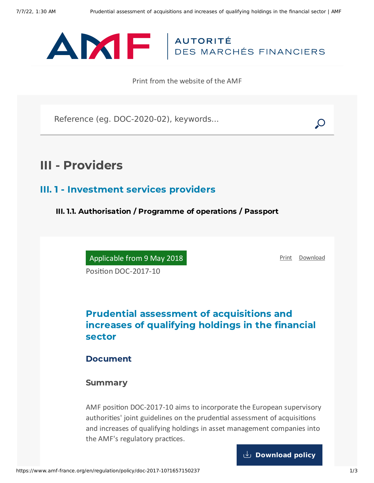

Print from the website of the AMF

Reference (eg. DOC-2020-02), keywords...

# III - Providers

### III. 1 - Investment services providers

III. 1.1. Authorisation / Programme of operations / Passport

Applicable from 9 May 2018

[Print](javascript:window.print()) [Download](https://www.amf-france.org/sites/default/files/pdf/62854/en/Prudential_assessment_of_acquisitions_and_increases_of_qualifying_holdings_in_the_financial_sector.pdf?1657150238)

Position DOC-2017-10

# Prudential assessment of acquisitions and increases of qualifying holdings in the financial sector

### Document

### Summary

AMF position DOC-2017-10 aims to incorporate the European supervisory authorities' joint guidelines on the prudential assessment of acquisitions and increases of qualifying holdings in asset management companies into the AMF's regulatory practices.

**[Download](https://www.amf-france.org/sites/default/files/doctrine/en/Position/DOC-2017-10/2.0/Prudential%20assessment%20of%20acquisitions%20and%20increases%20of%20qualifying%20holdings%20in%20the%20financial%20sector.pdf) policy**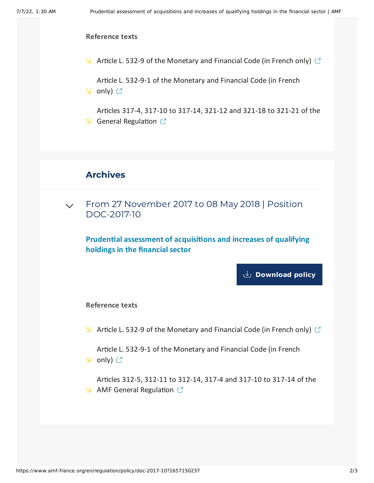#### **Reference texts**

 $\blacktriangleright$  Article L. 532-9 of the [Monetary](https://www.legifrance.gouv.fr/affichCodeArticle.do?idArticle=LEGIARTI000028441324&cidTexte=LEGITEXT000006072026) and Financial Code (in French only)  $\heartsuit$ 

Article L. 532-9-1 of the [Monetary](https://www.legifrance.gouv.fr/affichCodeArticle.do?idArticle=LEGIARTI000027794578&cidTexte=LEGITEXT000006072026) and Financial Code (in French **D** only) <mark>C</mark>

Articles 317-4, 317-10 to 317-14, 321-12 and 321-18 to 321-21 of the  $\triangle$  General [Regulation](http://www.amf-france.org/reglement/en_US/RG-en-vigueur)  $\heartsuit$ 

## Archives

From 27 November 2017 to 08 May 2018 | Position [DOC-2017-10](#page-1-0)  $\vee$ 

<span id="page-1-0"></span>**Prudential assessment of acquisitions and increases of qualifying holdings in the financial sector**

**[Download](https://www.amf-france.org/sites/default/files/doctrine/en/Position/DOC-2017-10/1.0/Prudential%20assessment%20of%20acquisitions%20and%20increases%20of%20qualifying%20holdings%20in%20the%20financial%20sector.pdf) policy**

#### **Reference texts**

 $\blacktriangleright$  Article L. 532-9 of the [Monetary](https://www.legifrance.gouv.fr/affichCodeArticle.do?idArticle=LEGIARTI000028441324&cidTexte=LEGITEXT000006072026) and Financial Code (in French only)  $\heartsuit$ 

Article L. 532-9-1 of the [Monetary](https://www.legifrance.gouv.fr/affichCodeArticle.do?idArticle=LEGIARTI000027794578&cidTexte=LEGITEXT000006072026) and Financial Code (in French **ଧ** only) <mark></mark>

Articles 312-5, 312-11 to 312-14, 317-4 and 317-10 to 317-14 of the  $\triangle$  AMF General [Regulation](https://reglement-general.amf-france.org/eli/fr/aai/amf/rg/notes/fr.html)  $\heartsuit$